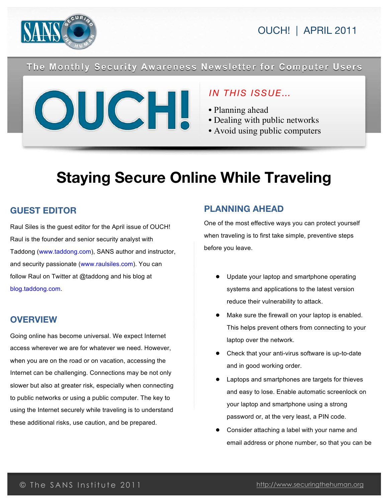

OUCH! | APRIL 2011

### The Monthly Security Awareness Newsletter for Computer Users



### *IN THIS ISSUE…*

- Planning ahead
- Dealing with public networks
- Avoid using public computers

# **Staying Secure Online While Traveling**

### **GUEST EDITOR**

Raul Siles is the guest editor for the April issue of OUCH! Raul is the founder and senior security analyst with Taddong (www.taddong.com), SANS author and instructor, and security passionate (www.raulsiles.com). You can follow Raul on Twitter at @taddong and his blog at blog.taddong.com.

### **OVERVIEW**

Going online has become universal. We expect Internet access wherever we are for whatever we need. However, when you are on the road or on vacation, accessing the Internet can be challenging. Connections may be not only slower but also at greater risk, especially when connecting to public networks or using a public computer. The key to using the Internet securely while traveling is to understand these additional risks, use caution, and be prepared.

### **PLANNING AHEAD**

One of the most effective ways you can protect yourself when traveling is to first take simple, preventive steps before you leave.

- Update your laptop and smartphone operating systems and applications to the latest version reduce their vulnerability to attack.
- Make sure the firewall on your laptop is enabled. This helps prevent others from connecting to your laptop over the network.
- Check that your anti-virus software is up-to-date and in good working order.
- Laptops and smartphones are targets for thieves and easy to lose. Enable automatic screenlock on your laptop and smartphone using a strong password or, at the very least, a PIN code.
- Consider attaching a label with your name and email address or phone number, so that you can be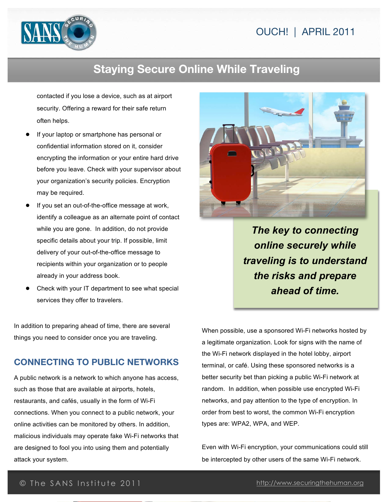

## **Staying Secure Online While Traveling**

contacted if you lose a device, such as at airport security. Offering a reward for their safe return often helps.

- If your laptop or smartphone has personal or confidential information stored on it, consider encrypting the information or your entire hard drive before you leave. Check with your supervisor about your organization's security policies. Encryption may be required.
- If you set an out-of-the-office message at work, identify a colleague as an alternate point of contact while you are gone. In addition, do not provide specific details about your trip. If possible, limit delivery of your out-of-the-office message to recipients within your organization or to people already in your address book.
- Check with your IT department to see what special services they offer to travelers.

In addition to preparing ahead of time, there are several things you need to consider once you are traveling.

#### **CONNECTING TO PUBLIC NETWORKS**

A public network is a network to which anyone has access, such as those that are available at airports, hotels, restaurants, and cafés, usually in the form of Wi-Fi connections. When you connect to a public network, your online activities can be monitored by others. In addition, malicious individuals may operate fake Wi-Fi networks that are designed to fool you into using them and potentially attack your system.



*The key to connecting online securely while traveling is to understand the risks and prepare ahead of time.*

When possible, use a sponsored Wi-Fi networks hosted by a legitimate organization. Look for signs with the name of the Wi-Fi network displayed in the hotel lobby, airport terminal, or café. Using these sponsored networks is a better security bet than picking a public Wi-Fi network at random. In addition, when possible use encrypted Wi-Fi networks, and pay attention to the type of encryption. In order from best to worst, the common Wi-Fi encryption types are: WPA2, WPA, and WEP.

Even with Wi-Fi encryption, your communications could still be intercepted by other users of the same Wi-Fi network.